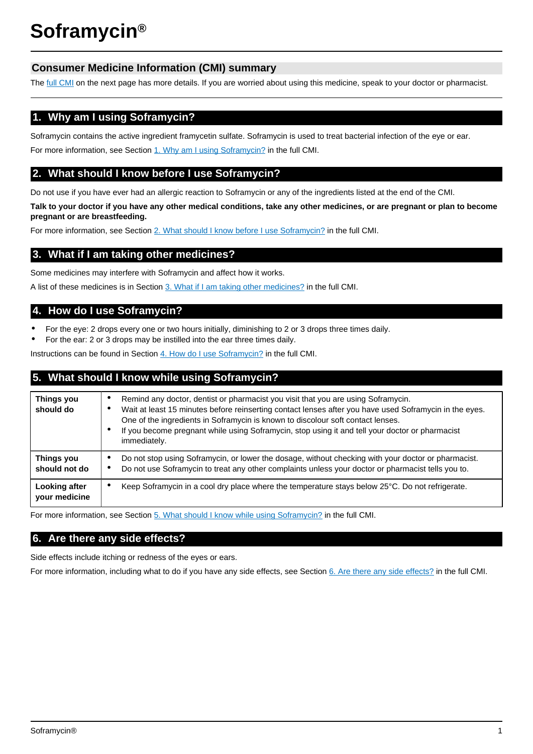# **Consumer Medicine Information (CMI) summary**

The [full CMI](#page-1-0) on the next page has more details. If you are worried about using this medicine, speak to your doctor or pharmacist.

# **1. Why am I using Soframycin?**

Soframycin contains the active ingredient framycetin sulfate. Soframycin is used to treat bacterial infection of the eye or ear. For more information, see Section [1. Why am I using Soframycin?](#page-1-1) in the full CMI.

# **2. What should I know before I use Soframycin?**

Do not use if you have ever had an allergic reaction to Soframycin or any of the ingredients listed at the end of the CMI.

**Talk to your doctor if you have any other medical conditions, take any other medicines, or are pregnant or plan to become pregnant or are breastfeeding.**

For more information, see Section [2. What should I know before I use Soframycin?](#page-1-2) in the full CMI.

# **3. What if I am taking other medicines?**

Some medicines may interfere with Soframycin and affect how it works.

A list of these medicines is in Section [3. What if I am taking other medicines?](#page-1-3) in the full CMI.

# **4. How do I use Soframycin?**

- For the eye: 2 drops every one or two hours initially, diminishing to 2 or 3 drops three times daily.
- For the ear: 2 or 3 drops may be instilled into the ear three times daily.

Instructions can be found in Section [4. How do I use Soframycin?](#page-1-4) in the full CMI.

# **5. What should I know while using Soframycin?**

| <b>Things you</b><br>should do | Remind any doctor, dentist or pharmacist you visit that you are using Soframycin.<br>Wait at least 15 minutes before reinserting contact lenses after you have used Soframycin in the eyes.<br>٠<br>One of the ingredients in Soframycin is known to discolour soft contact lenses.<br>If you become pregnant while using Soframycin, stop using it and tell your doctor or pharmacist<br>٠<br>immediately. |
|--------------------------------|-------------------------------------------------------------------------------------------------------------------------------------------------------------------------------------------------------------------------------------------------------------------------------------------------------------------------------------------------------------------------------------------------------------|
| Things you<br>should not do    | Do not stop using Soframycin, or lower the dosage, without checking with your doctor or pharmacist.<br>Do not use Soframycin to treat any other complaints unless your doctor or pharmacist tells you to.<br>٠                                                                                                                                                                                              |
| Looking after<br>your medicine | Keep Soframycin in a cool dry place where the temperature stays below 25°C. Do not refrigerate.<br>٠                                                                                                                                                                                                                                                                                                        |

For more information, see Section [5. What should I know while using Soframycin?](#page-2-0) in the full CMI.

# **6. Are there any side effects?**

Side effects include itching or redness of the eyes or ears.

For more information, including what to do if you have any side effects, see Section [6. Are there any side effects?](#page-3-0) in the full CMI.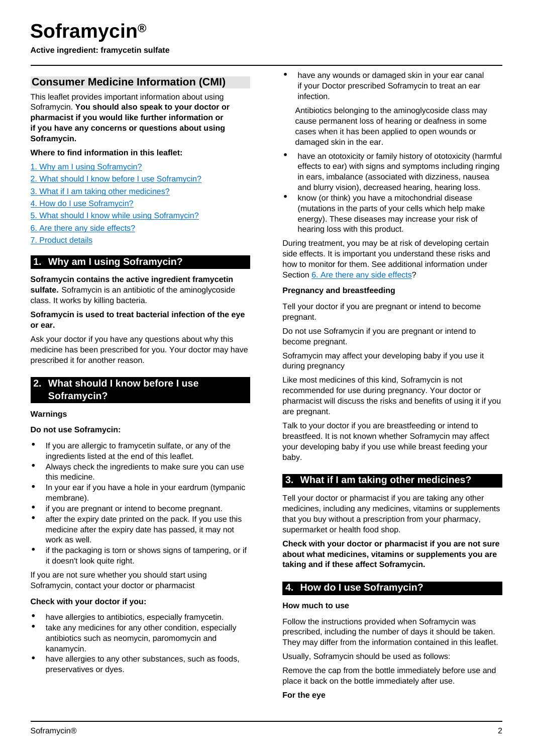<span id="page-1-0"></span>**Active ingredient: framycetin sulfate**

# **Consumer Medicine Information (CMI)**

This leaflet provides important information about using Soframycin. **You should also speak to your doctor or pharmacist if you would like further information or if you have any concerns or questions about using Soframycin.**

### **Where to find information in this leaflet:**

- [1. Why am I using Soframycin?](#page-1-1)
- 2. What should I know before I use Soframvcin?
- [3. What if I am taking other medicines?](#page-1-3)
- [4. How do I use Soframycin?](#page-1-4)
- [5. What should I know while using Soframycin?](#page-2-0)
- [6. Are there any side effects?](#page-3-0)
- [7. Product details](#page-3-1)

# <span id="page-1-1"></span>**1. Why am I using Soframycin?**

**Soframycin contains the active ingredient framycetin sulfate.** Soframycin is an antibiotic of the aminoglycoside class. It works by killing bacteria.

#### **Soframycin is used to treat bacterial infection of the eye or ear.**

Ask your doctor if you have any questions about why this medicine has been prescribed for you. Your doctor may have prescribed it for another reason.

# <span id="page-1-2"></span>**2. What should I know before I use Soframycin?**

### **Warnings**

### **Do not use Soframycin:**

- If you are allergic to framycetin sulfate, or any of the ingredients listed at the end of this leaflet.
- Always check the ingredients to make sure you can use this medicine.
- In your ear if you have a hole in your eardrum (tympanic membrane).
- if you are pregnant or intend to become pregnant.
- after the expiry date printed on the pack. If you use this medicine after the expiry date has passed, it may not work as well.
- if the packaging is torn or shows signs of tampering, or if it doesn't look quite right.

If you are not sure whether you should start using Soframycin, contact your doctor or pharmacist

### **Check with your doctor if you:**

- have allergies to antibiotics, especially framycetin.
- take any medicines for any other condition, especially antibiotics such as neomycin, paromomycin and kanamycin.
- have allergies to any other substances, such as foods, preservatives or dyes.

have any wounds or damaged skin in your ear canal if your Doctor prescribed Soframycin to treat an ear infection.

Antibiotics belonging to the aminoglycoside class may cause permanent loss of hearing or deafness in some cases when it has been applied to open wounds or damaged skin in the ear.

- have an ototoxicity or family history of ototoxicity (harmful effects to ear) with signs and symptoms including ringing in ears, imbalance (associated with dizziness, nausea and blurry vision), decreased hearing, hearing loss.
- know (or think) you have a mitochondrial disease (mutations in the parts of your cells which help make energy). These diseases may increase your risk of hearing loss with this product.

During treatment, you may be at risk of developing certain side effects. It is important you understand these risks and how to monitor for them. See additional information under Section [6. Are there any side effects](#page-3-0)?

#### **Pregnancy and breastfeeding**

Tell your doctor if you are pregnant or intend to become pregnant.

Do not use Soframycin if you are pregnant or intend to become pregnant.

Soframycin may affect your developing baby if you use it during pregnancy

Like most medicines of this kind, Soframycin is not recommended for use during pregnancy. Your doctor or pharmacist will discuss the risks and benefits of using it if you are pregnant.

Talk to your doctor if you are breastfeeding or intend to breastfeed. It is not known whether Soframycin may affect your developing baby if you use while breast feeding your baby.

## <span id="page-1-3"></span>**3. What if I am taking other medicines?**

Tell your doctor or pharmacist if you are taking any other medicines, including any medicines, vitamins or supplements that you buy without a prescription from your pharmacy, supermarket or health food shop.

**Check with your doctor or pharmacist if you are not sure about what medicines, vitamins or supplements you are taking and if these affect Soframycin.**

# <span id="page-1-4"></span>**4. How do I use Soframycin?**

#### **How much to use**

Follow the instructions provided when Soframycin was prescribed, including the number of days it should be taken. They may differ from the information contained in this leaflet.

Usually, Soframycin should be used as follows:

Remove the cap from the bottle immediately before use and place it back on the bottle immediately after use.

#### **For the eye**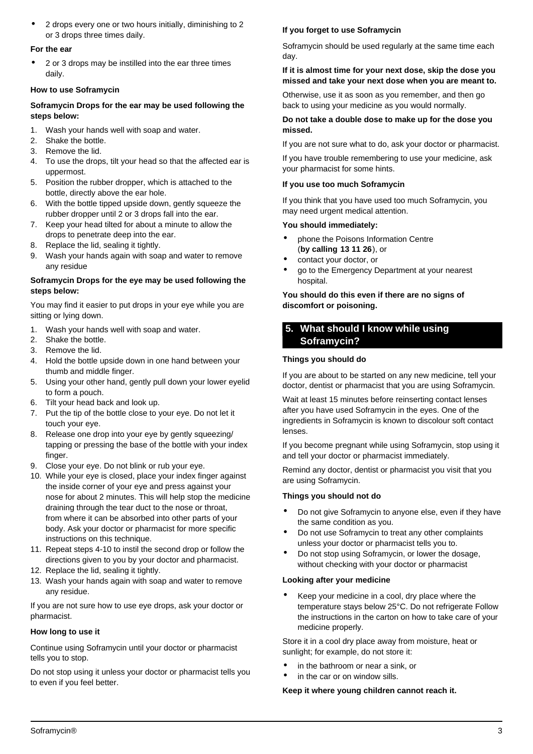• 2 drops every one or two hours initially, diminishing to 2 or 3 drops three times daily.

#### **For the ear**

• 2 or 3 drops may be instilled into the ear three times daily.

### **How to use Soframycin**

## **Soframycin Drops for the ear may be used following the steps below:**

- 1. Wash your hands well with soap and water.
- 2. Shake the bottle.
- 3. Remove the lid.
- 4. To use the drops, tilt your head so that the affected ear is uppermost.
- 5. Position the rubber dropper, which is attached to the bottle, directly above the ear hole.
- 6. With the bottle tipped upside down, gently squeeze the rubber dropper until 2 or 3 drops fall into the ear.
- 7. Keep your head tilted for about a minute to allow the drops to penetrate deep into the ear.
- 8. Replace the lid, sealing it tightly.
- 9. Wash your hands again with soap and water to remove any residue

## **Soframycin Drops for the eye may be used following the steps below:**

You may find it easier to put drops in your eye while you are sitting or lying down.

- 1. Wash your hands well with soap and water.
- 2. Shake the bottle.
- 3. Remove the lid.
- 4. Hold the bottle upside down in one hand between your thumb and middle finger.
- 5. Using your other hand, gently pull down your lower eyelid to form a pouch.
- 6. Tilt your head back and look up.
- 7. Put the tip of the bottle close to your eye. Do not let it touch your eye.
- 8. Release one drop into your eye by gently squeezing/ tapping or pressing the base of the bottle with your index finger.
- 9. Close your eye. Do not blink or rub your eye.
- 10. While your eye is closed, place your index finger against the inside corner of your eye and press against your nose for about 2 minutes. This will help stop the medicine draining through the tear duct to the nose or throat, from where it can be absorbed into other parts of your body. Ask your doctor or pharmacist for more specific instructions on this technique.
- 11. Repeat steps 4-10 to instil the second drop or follow the directions given to you by your doctor and pharmacist.
- 12. Replace the lid, sealing it tightly.
- 13. Wash your hands again with soap and water to remove any residue.

If you are not sure how to use eye drops, ask your doctor or pharmacist.

## **How long to use it**

Continue using Soframycin until your doctor or pharmacist tells you to stop.

Do not stop using it unless your doctor or pharmacist tells you to even if you feel better.

## **If you forget to use Soframycin**

Soframycin should be used regularly at the same time each day.

### **If it is almost time for your next dose, skip the dose you missed and take your next dose when you are meant to.**

Otherwise, use it as soon as you remember, and then go back to using your medicine as you would normally.

### **Do not take a double dose to make up for the dose you missed.**

If you are not sure what to do, ask your doctor or pharmacist.

If you have trouble remembering to use your medicine, ask your pharmacist for some hints.

## **If you use too much Soframycin**

If you think that you have used too much Soframycin, you may need urgent medical attention.

## **You should immediately:**

- phone the Poisons Information Centre (**by calling 13 11 26**), or
- contact your doctor, or
- go to the Emergency Department at your nearest hospital.

### **You should do this even if there are no signs of discomfort or poisoning.**

# <span id="page-2-0"></span>**5. What should I know while using Soframycin?**

## **Things you should do**

If you are about to be started on any new medicine, tell your doctor, dentist or pharmacist that you are using Soframycin.

Wait at least 15 minutes before reinserting contact lenses after you have used Soframycin in the eyes. One of the ingredients in Soframycin is known to discolour soft contact lenses.

If you become pregnant while using Soframycin, stop using it and tell your doctor or pharmacist immediately.

Remind any doctor, dentist or pharmacist you visit that you are using Soframycin.

## **Things you should not do**

- Do not give Soframycin to anyone else, even if they have the same condition as you.
- Do not use Soframycin to treat any other complaints unless your doctor or pharmacist tells you to.
- Do not stop using Soframycin, or lower the dosage, without checking with your doctor or pharmacist

### **Looking after your medicine**

Keep your medicine in a cool, dry place where the temperature stays below 25°C. Do not refrigerate Follow the instructions in the carton on how to take care of your medicine properly.

Store it in a cool dry place away from moisture, heat or sunlight; for example, do not store it:

- in the bathroom or near a sink, or
- in the car or on window sills.

## **Keep it where young children cannot reach it.**